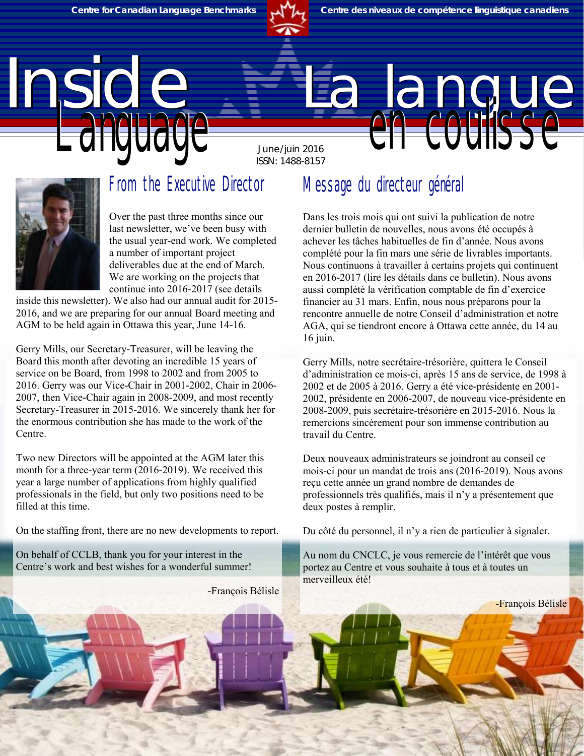

June/juin 2016 ISSN: 1488-8157

# Inside La langue



#### From the Executive Director

Over the past three months since our last newsletter, we've been busy with the usual year-end work. We completed a number of important project deliverables due at the end of March. We are working on the projects that continue into 2016-2017 (see details

inside this newsletter). We also had our annual audit for 2015- 2016, and we are preparing for our annual Board meeting and AGM to be held again in Ottawa this year, June 14-16.

Gerry Mills, our Secretary-Treasurer, will be leaving the Board this month after devoting an incredible 15 years of service on be Board, from 1998 to 2002 and from 2005 to 2016. Gerry was our Vice-Chair in 2001-2002, Chair in 2006- 2007, then Vice-Chair again in 2008-2009, and most recently Secretary-Treasurer in 2015-2016. We sincerely thank her for the enormous contribution she has made to the work of the Centre.

Two new Directors will be appointed at the AGM later this month for a three-year term (2016-2019). We received this year a large number of applications from highly qualified professionals in the field, but only two positions need to be filled at this time.

On the staffing front, there are no new developments to report.

On behalf of CCLB, thank you for your interest in the Centre's work and best wishes for a wonderful summer!

-François Bélisle

#### Message du directeur général

Dans les trois mois qui ont suivi la publication de notre dernier bulletin de nouvelles, nous avons été occupés à achever les tâches habituelles de fin d'année. Nous avons complété pour la fin mars une série de livrables importants. Nous continuons à travailler à certains projets qui continuent en 2016-2017 (lire les détails dans ce bulletin). Nous avons aussi complété la vérification comptable de fin d'exercice financier au 31 mars. Enfin, nous nous préparons pour la rencontre annuelle de notre Conseil d'administration et notre AGA, qui se tiendront encore à Ottawa cette année, du 14 au 16 juin.

Gerry Mills, notre secrétaire-trésorière, quittera le Conseil d'administration ce mois-ci, après 15 ans de service, de 1998 à 2002 et de 2005 à 2016. Gerry a été vice-présidente en 2001- 2002, présidente en 2006-2007, de nouveau vice-présidente en 2008-2009, puis secrétaire-trésorière en 2015-2016. Nous la remercions sincèrement pour son immense contribution au travail du Centre.

Deux nouveaux administrateurs se joindront au conseil ce mois-ci pour un mandat de trois ans (2016-2019). Nous avons reçu cette année un grand nombre de demandes de professionnels très qualifiés, mais il n'y a présentement que deux postes à remplir.

Du côté du personnel, il n'y a rien de particulier à signaler.

Au nom du CNCLC, je vous remercie de l'intérêt que vous portez au Centre et vous souhaite à tous et à toutes un merveilleux été!

-François Bélisle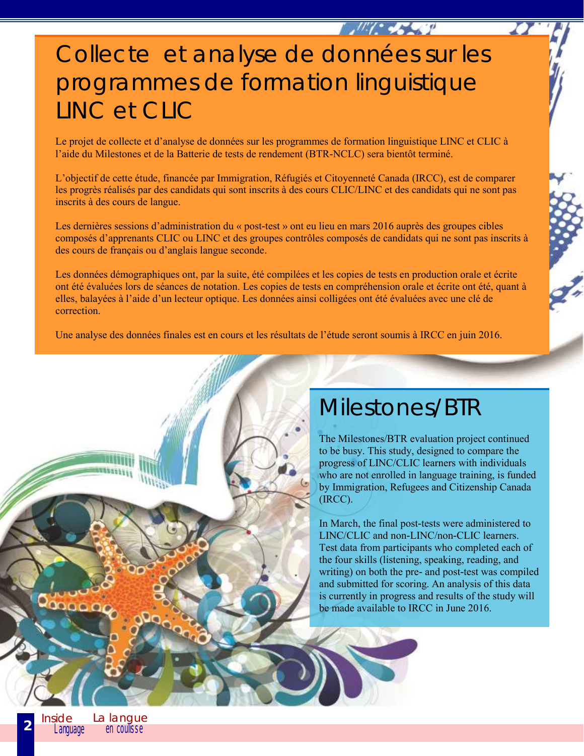## Collecte et analyse de données sur les programmes de formation linguistique LINC et CLIC

Le projet de collecte et d'analyse de données sur les programmes de formation linguistique LINC et CLIC à l'aide du Milestones et de la Batterie de tests de rendement (BTR-NCLC) sera bientôt terminé.

L'objectif de cette étude, financée par Immigration, Réfugiés et Citoyenneté Canada (IRCC), est de comparer les progrès réalisés par des candidats qui sont inscrits à des cours CLIC/LINC et des candidats qui ne sont pas inscrits à des cours de langue.

Les dernières sessions d'administration du « post-test » ont eu lieu en mars 2016 auprès des groupes cibles composés d'apprenants CLIC ou LINC et des groupes contrôles composés de candidats qui ne sont pas inscrits à des cours de français ou d'anglais langue seconde.

Les données démographiques ont, par la suite, été compilées et les copies de tests en production orale et écrite ont été évaluées lors de séances de notation. Les copies de tests en compréhension orale et écrite ont été, quant à elles, balayées à l'aide d'un lecteur optique. Les données ainsi colligées ont été évaluées avec une clé de correction.

Une analyse des données finales est en cours et les résultats de l'étude seront soumis à IRCC en juin 2016.

#### Milestones/BTR

 $\frac{1}{2}$ 

The Milestones/BTR evaluation project continued to be busy. This study, designed to compare the progress of LINC/CLIC learners with individuals who are not enrolled in language training, is funded by Immigration, Refugees and Citizenship Canada (IRCC).

In March, the final post-tests were administered to LINC/CLIC and non-LINC/non-CLIC learners. Test data from participants who completed each of the four skills (listening, speaking, reading, and writing) on both the pre- and post-test was compiled and submitted for scoring. An analysis of this data is currently in progress and results of the study will be made available to IRCC in June 2016.

QOODD

**2**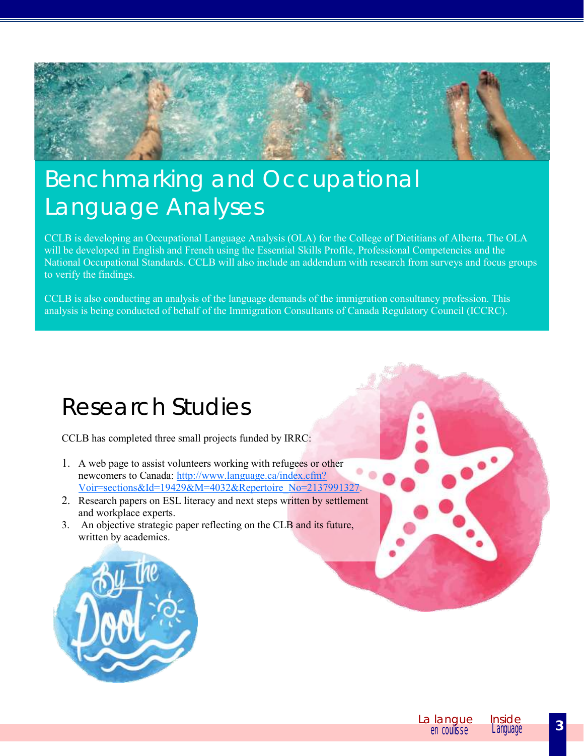

# Benchmarking and Occupational Language Analyses

CCLB is developing an Occupational Language Analysis (OLA) for the College of Dietitians of Alberta. The OLA will be developed in English and French using the Essential Skills Profile, Professional Competencies and the National Occupational Standards. CCLB will also include an addendum with research from surveys and focus groups to verify the findings.

CCLB is also conducting an analysis of the language demands of the immigration consultancy profession. This analysis is being conducted of behalf of the Immigration Consultants of Canada Regulatory Council (ICCRC).

#### Research Studies

CCLB has completed three small projects funded by IRRC:

- 1. A web page to assist volunteers working with refugees or other newcomers to Canada: [http://www.language.ca/index.cfm?](http://www.language.ca/index.cfm?Voir=sections&Id=19429&M=4032&Repertoire_No=2137991327) [Voir=sections&Id=19429&M=4032&Repertoire\\_No=2137991327.](http://www.language.ca/index.cfm?Voir=sections&Id=19429&M=4032&Repertoire_No=2137991327)
- 2. Research papers on ESL literacy and next steps written by settlement and workplace experts.
- 3. An objective strategic paper reflecting on the CLB and its future, written by academics.

![](_page_2_Picture_9.jpeg)

![](_page_2_Picture_10.jpeg)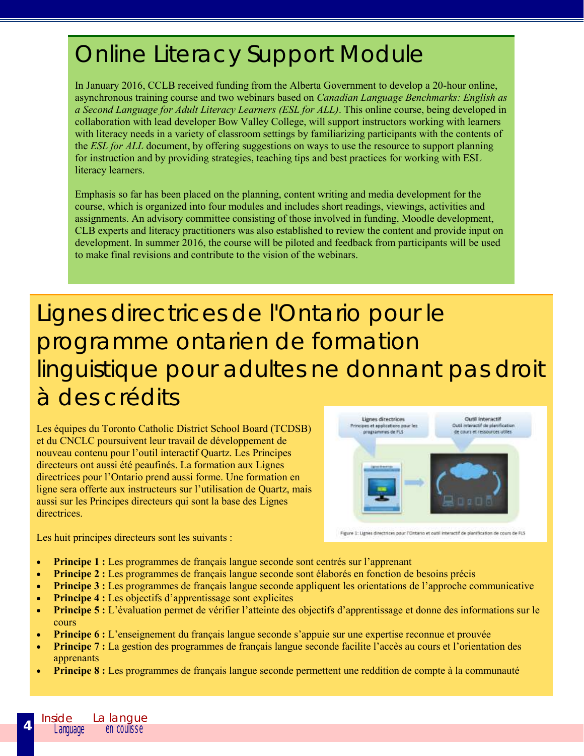## Online Literacy Support Module

In January 2016, CCLB received funding from the Alberta Government to develop a 20-hour online, asynchronous training course and two webinars based on *Canadian Language Benchmarks: English as a Second Language for Adult Literacy Learners (ESL for ALL)*. This online course, being developed in collaboration with lead developer Bow Valley College, will support instructors working with learners with literacy needs in a variety of classroom settings by familiarizing participants with the contents of the *ESL for ALL* document, by offering suggestions on ways to use the resource to support planning for instruction and by providing strategies, teaching tips and best practices for working with ESL literacy learners.

Emphasis so far has been placed on the planning, content writing and media development for the course, which is organized into four modules and includes short readings, viewings, activities and assignments. An advisory committee consisting of those involved in funding, Moodle development, CLB experts and literacy practitioners was also established to review the content and provide input on development. In summer 2016, the course will be piloted and feedback from participants will be used to make final revisions and contribute to the vision of the webinars.

Lignes directrices de l'Ontario pour le programme ontarien de formation linguistique pour adultes ne donnant pas droit à des crédits

Les équipes du Toronto Catholic District School Board (TCDSB) et du CNCLC poursuivent leur travail de développement de nouveau contenu pour l'outil interactif Quartz. Les Principes directeurs ont aussi été peaufinés. La formation aux Lignes directrices pour l'Ontario prend aussi forme. Une formation en ligne sera offerte aux instructeurs sur l'utilisation de Quartz, mais aussi sur les Principes directeurs qui sont la base des Lignes directrices.

![](_page_3_Figure_5.jpeg)

Figure 1: Lignes directrices pour l'Ontario et outil interactif de planification de cours de FLS

Les huit principes directeurs sont les suivants :

- **Principe 1 :** Les programmes de français langue seconde sont centrés sur l'apprenant
- **Principe 2 :** Les programmes de français langue seconde sont élaborés en fonction de besoins précis
- **Principe 3 :** Les programmes de français langue seconde appliquent les orientations de l'approche communicative
- **Principe 4 :** Les objectifs d'apprentissage sont explicites
- **Principe 5 :** L'évaluation permet de vérifier l'atteinte des objectifs d'apprentissage et donne des informations sur le cours
- **Principe 6 :** L'enseignement du français langue seconde s'appuie sur une expertise reconnue et prouvée
- **Principe 7 :** La gestion des programmes de français langue seconde facilite l'accès au cours et l'orientation des apprenants
- **Principe 8 :** Les programmes de français langue seconde permettent une reddition de compte à la communauté

**4**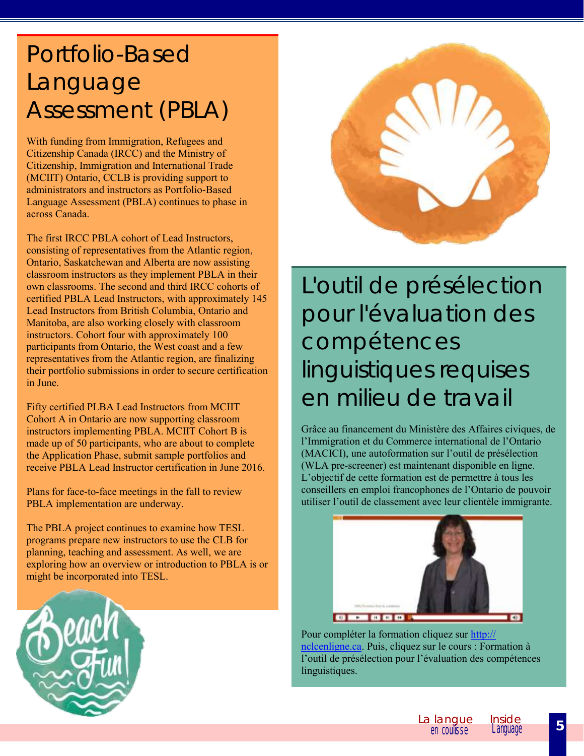## Portfolio-Based Language Assessment (PBLA)

With funding from Immigration, Refugees and Citizenship Canada (IRCC) and the Ministry of Citizenship, Immigration and International Trade (MCIIT) Ontario, CCLB is providing support to administrators and instructors as Portfolio-Based Language Assessment (PBLA) continues to phase in across Canada.

The first IRCC PBLA cohort of Lead Instructors, consisting of representatives from the Atlantic region, Ontario, Saskatchewan and Alberta are now assisting classroom instructors as they implement PBLA in their own classrooms. The second and third IRCC cohorts of certified PBLA Lead Instructors, with approximately 145 Lead Instructors from British Columbia, Ontario and Manitoba, are also working closely with classroom instructors. Cohort four with approximately 100 participants from Ontario, the West coast and a few representatives from the Atlantic region, are finalizing their portfolio submissions in order to secure certification in June.

Fifty certified PLBA Lead Instructors from MCIIT Cohort A in Ontario are now supporting classroom instructors implementing PBLA. MCIIT Cohort B is made up of 50 participants, who are about to complete the Application Phase, submit sample portfolios and receive PBLA Lead Instructor certification in June 2016.

Plans for face-to-face meetings in the fall to review PBLA implementation are underway.

The PBLA project continues to examine how TESL programs prepare new instructors to use the CLB for planning, teaching and assessment. As well, we are exploring how an overview or introduction to PBLA is or might be incorporated into TESL.

![](_page_4_Picture_6.jpeg)

![](_page_4_Picture_7.jpeg)

L'outil de présélection pour l'évaluation des compétences linguistiques requises en milieu de travail

Grâce au financement du Ministère des Affaires civiques, de l'Immigration et du Commerce international de l'Ontario (MACICI), une autoformation sur l'outil de présélection (WLA pre-screener) est maintenant disponible en ligne. L'objectif de cette formation est de permettre à tous les conseillers en emploi francophones de l'Ontario de pouvoir utiliser l'outil de classement avec leur clientèle immigrante.

![](_page_4_Picture_10.jpeg)

Pour compléter la formation cliquez sur [http://](http://nclcenligne.ca/) [nclcenligne.ca.](http://nclcenligne.ca/) Puis, cliquez sur le cours : Formation à l'outil de présélection pour l'évaluation des compétences linguistiques.

![](_page_4_Picture_12.jpeg)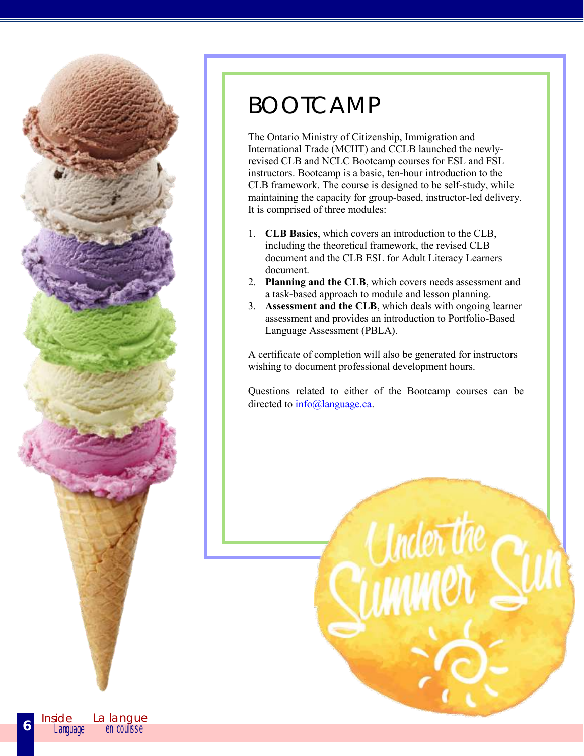![](_page_5_Picture_0.jpeg)

#### BOOTCAMP

The Ontario Ministry of Citizenship, Immigration and International Trade (MCIIT) and CCLB launched the newlyrevised CLB and NCLC Bootcamp courses for ESL and FSL instructors. Bootcamp is a basic, ten-hour introduction to the CLB framework. The course is designed to be self-study, while maintaining the capacity for group-based, instructor-led delivery. It is comprised of three modules:

- 1. **CLB Basics**, which covers an introduction to the CLB, including the theoretical framework, the revised CLB document and the CLB ESL for Adult Literacy Learners document.
- 2. **Planning and the CLB**, which covers needs assessment and a task-based approach to module and lesson planning.
- 3. **Assessment and the CLB**, which deals with ongoing learner assessment and provides an introduction to Portfolio-Based Language Assessment (PBLA).

A certificate of completion will also be generated for instructors wishing to document professional development hours.

Questions related to either of the Bootcamp courses can be directed to  $info@language.ca$ .

**6**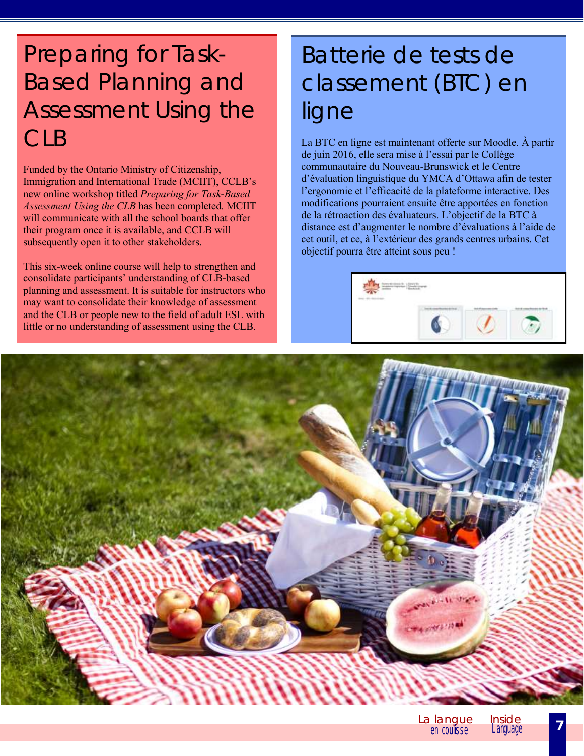# Preparing for Task-Based Planning and Assessment Using the CLB

Funded by the Ontario Ministry of Citizenship, Immigration and International Trade (MCIIT), CCLB's new online workshop titled *Preparing for Task-Based Assessment Using the CLB* has been completed*.* MCIIT will communicate with all the school boards that offer their program once it is available, and CCLB will subsequently open it to other stakeholders.

This six-week online course will help to strengthen and consolidate participants' understanding of CLB-based planning and assessment. It is suitable for instructors who may want to consolidate their knowledge of assessment and the CLB or people new to the field of adult ESL with little or no understanding of assessment using the CLB.

# Batterie de tests de classement (BTC) en ligne

La BTC en ligne est maintenant offerte sur Moodle. À partir de juin 2016, elle sera mise à l'essai par le Collège communautaire du Nouveau-Brunswick et le Centre d'évaluation linguistique du YMCA d'Ottawa afin de tester l'ergonomie et l'efficacité de la plateforme interactive. Des modifications pourraient ensuite être apportées en fonction de la rétroaction des évaluateurs. L'objectif de la BTC à distance est d'augmenter le nombre d'évaluations à l'aide de cet outil, et ce, à l'extérieur des grands centres urbains. Cet objectif pourra être atteint sous peu !

![](_page_6_Picture_5.jpeg)

![](_page_6_Picture_6.jpeg)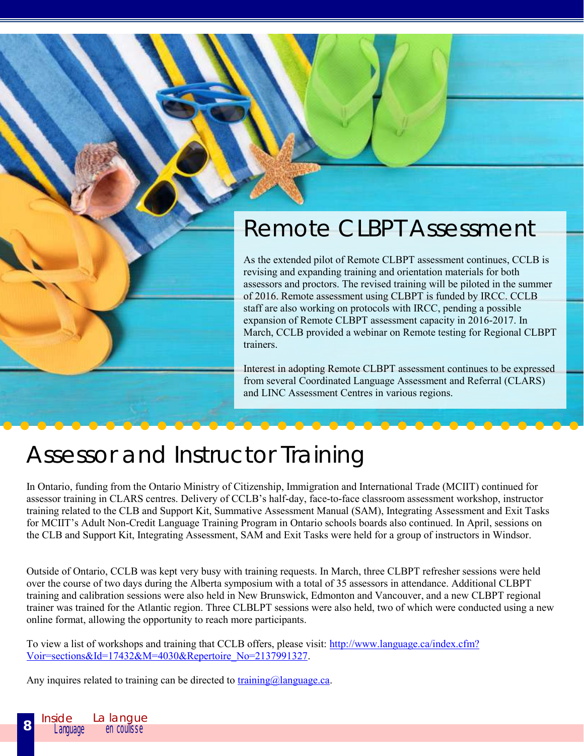# Remote CLBPT Assessment

As the extended pilot of Remote CLBPT assessment continues, CCLB is revising and expanding training and orientation materials for both assessors and proctors. The revised training will be piloted in the summer of 2016. Remote assessment using CLBPT is funded by IRCC. CCLB staff are also working on protocols with IRCC, pending a possible expansion of Remote CLBPT assessment capacity in 2016-2017. In March, CCLB provided a webinar on Remote testing for Regional CLBPT trainers.

Interest in adopting Remote CLBPT assessment continues to be expressed from several Coordinated Language Assessment and Referral (CLARS) and LINC Assessment Centres in various regions.

## Assessor and Instructor Training

In Ontario, funding from the Ontario Ministry of Citizenship, Immigration and International Trade (MCIIT) continued for assessor training in CLARS centres. Delivery of CCLB's half-day, face-to-face classroom assessment workshop, instructor training related to the CLB and Support Kit, Summative Assessment Manual (SAM), Integrating Assessment and Exit Tasks for MCIIT's Adult Non-Credit Language Training Program in Ontario schools boards also continued. In April, sessions on the CLB and Support Kit, Integrating Assessment, SAM and Exit Tasks were held for a group of instructors in Windsor.

Outside of Ontario, CCLB was kept very busy with training requests. In March, three CLBPT refresher sessions were held over the course of two days during the Alberta symposium with a total of 35 assessors in attendance. Additional CLBPT training and calibration sessions were also held in New Brunswick, Edmonton and Vancouver, and a new CLBPT regional trainer was trained for the Atlantic region. Three CLBLPT sessions were also held, two of which were conducted using a new online format, allowing the opportunity to reach more participants.

To view a list of workshops and training that CCLB offers, please visit: [http://www.language.ca/index.cfm?](http://www.language.ca/index.cfm?Voir=sections&Id=17432&M=4030&Repertoire_No=2137991327) [Voir=sections&Id=17432&M=4030&Repertoire\\_No=2137991327.](http://www.language.ca/index.cfm?Voir=sections&Id=17432&M=4030&Repertoire_No=2137991327)

Any inquires related to training can be directed to training $\omega$  language.ca.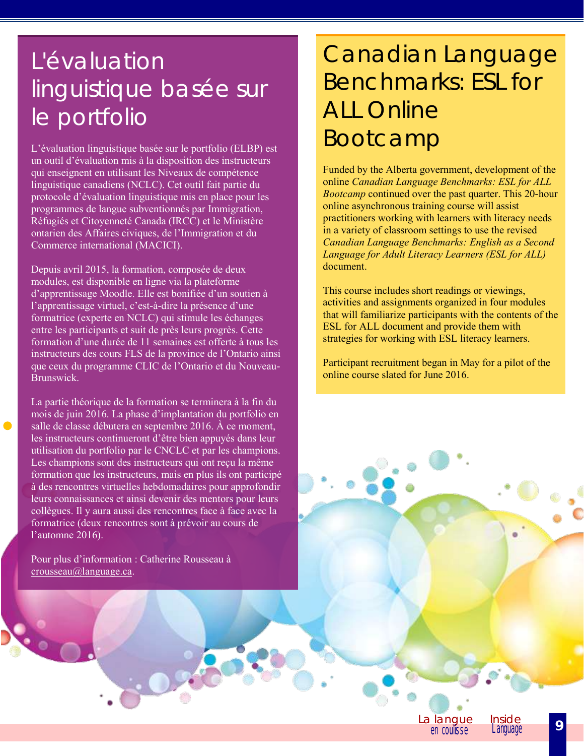# L'évaluation linguistique basée sur le portfolio

L'évaluation linguistique basée sur le portfolio (ELBP) est un outil d'évaluation mis à la disposition des instructeurs qui enseignent en utilisant les Niveaux de compétence linguistique canadiens (NCLC). Cet outil fait partie du protocole d'évaluation linguistique mis en place pour les programmes de langue subventionnés par Immigration, Réfugiés et Citoyenneté Canada (IRCC) et le Ministère ontarien des Affaires civiques, de l'Immigration et du Commerce international (MACICI).

Depuis avril 2015, la formation, composée de deux modules, est disponible en ligne via la plateforme d'apprentissage Moodle. Elle est bonifiée d'un soutien à l'apprentissage virtuel, c'est-à-dire la présence d'une formatrice (experte en NCLC) qui stimule les échanges entre les participants et suit de près leurs progrès. Cette formation d'une durée de 11 semaines est offerte à tous les instructeurs des cours FLS de la province de l'Ontario ainsi que ceux du programme CLIC de l'Ontario et du Nouveau-Brunswick.

La partie théorique de la formation se terminera à la fin du mois de juin 2016. La phase d'implantation du portfolio en salle de classe débutera en septembre 2016. À ce moment, les instructeurs continueront d'être bien appuyés dans leur utilisation du portfolio par le CNCLC et par les champions. Les champions sont des instructeurs qui ont reçu la même formation que les instructeurs, mais en plus ils ont participé à des rencontres virtuelles hebdomadaires pour approfondir leurs connaissances et ainsi devenir des mentors pour leurs collègues. Il y aura aussi des rencontres face à face avec la formatrice (deux rencontres sont à prévoir au cours de l'automne 2016).

Pour plus d'information : Catherine Rousseau à [crousseau@language.ca.](mailto:crousseau@language.ca)

# Canadian Language Benchmarks: ESL for ALL Online Bootcamp

Funded by the Alberta government, development of the online *Canadian Language Benchmarks: ESL for ALL Bootcamp* continued over the past quarter. This 20-hour online asynchronous training course will assist practitioners working with learners with literacy needs in a variety of classroom settings to use the revised *[Canadian Language Benchmarks: English as a Second](http://www.language.ca/index.cfm?Voir=sections&Id=19200&M=4038&Repertoire_No=2137991327)  [Language for Adult Literacy Learners](http://www.language.ca/index.cfm?Voir=sections&Id=19200&M=4038&Repertoire_No=2137991327) (ESL for ALL)* document.

This course includes short readings or viewings, activities and assignments organized in four modules that will familiarize participants with the contents of the ESL for ALL document and provide them with strategies for working with ESL literacy learners.

Participant recruitment began in May for a pilot of the online course slated for June 2016.

> La langue en coulisse **9**

Language